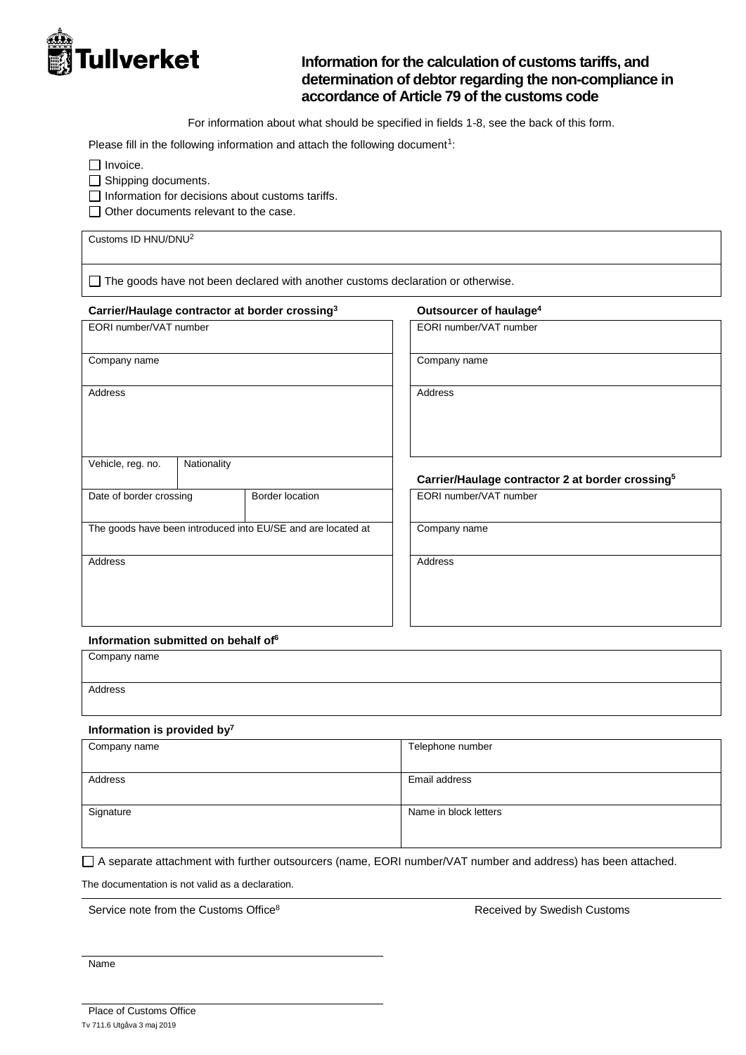

# **Information for the calculation of customs tariffs, and determination of debtor regarding the non-compliance in accordance of Article 79 of the customs code**

For information about what should be specified in fields 1-8, see the back of this form.

Please fill in the following information and attach the following document<sup>1</sup>:

 $\Box$  Invoice.

Shipping documents.

 $\Box$  Information for decisions about customs tariffs.

Other documents relevant to the case.

Customs ID HNU/DNU<sup>2</sup>

 $\Box$  The goods have not been declared with another customs declaration or otherwise.

#### **Carrier/Haulage contractor at border crossing<sup>3</sup> Outsourcer of haulage<sup>4</sup>**

EORI number/VAT number **EORI number/VAT number** 

Company name Company name

Address and the contract of the contract of the contract of the contract of the contract of the contract of the contract of the contract of the contract of the contract of the contract of the contract of the contract of th

# **Carrier/Haulage contractor 2 at border crossing<sup>5</sup>**

Date of border crossing Border location Border I EORI number/VAT number

The goods have been introduced into EU/SE and are located at Company name

Address and the contract of the contract of the contract of the contract of the contract of the contract of the contract of the contract of the contract of the contract of the contract of the contract of the contract of th

**Information submitted on behalf of<sup>6</sup>**

Company name Address

#### **Information is provided by<sup>7</sup>**

Vehicle, reg. no. | Nationality

| Telephone number      |
|-----------------------|
|                       |
| Email address         |
|                       |
| Name in block letters |
|                       |
|                       |

A separate attachment with further outsourcers (name, EORI number/VAT number and address) has been attached.

The documentation is not valid as a declaration.

Service note from the Customs Office<sup>8</sup> and Service and Service and Service of the Swedish Customs

Name

Tv 711.6 Utgåva 3 maj 2019 Place of Customs Office